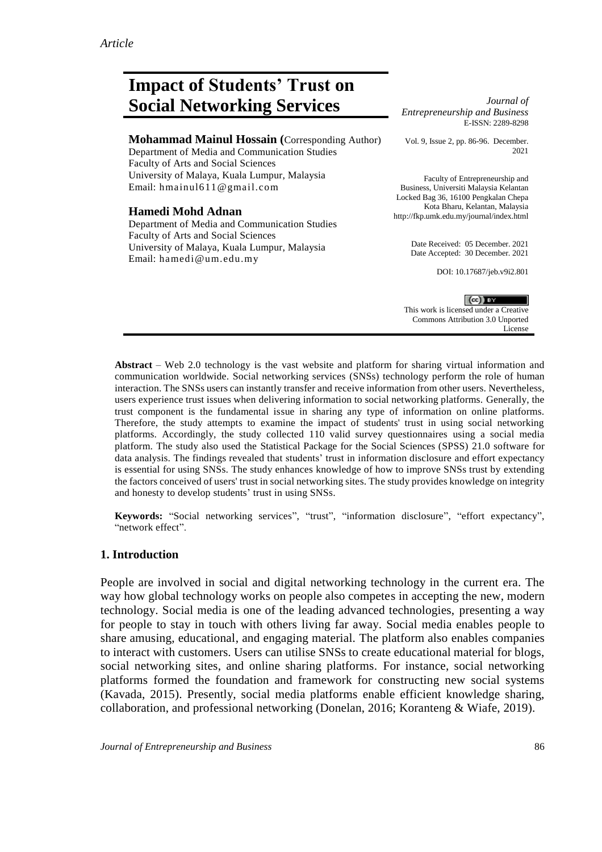# **Impact of Students' Trust on Social Networking Services** *Journal of*

**Mohammad Mainul Hossain (**Corresponding Author)

Department of Media and Communication Studies Faculty of Arts and Social Sciences University of Malaya, Kuala Lumpur, Malaysia Email: [hmainul611@gmail.com](mailto:hmainul611@gmail.com)

#### **Hamedi Mohd Adnan**

Department of Media and Communication Studies Faculty of Arts and Social Sciences University of Malaya, Kuala Lumpur, Malaysia Email: [hamedi@um.edu.my](mailto:hamedi@um.edu.my)

*Entrepreneurship and Business* E-ISSN: 2289-8298

Vol. 9, Issue 2, pp. 86-96. December. 2021

Faculty of Entrepreneurship and Business, Universiti Malaysia Kelantan Locked Bag 36, 16100 Pengkalan Chepa Kota Bharu, Kelantan, Malaysia http://fkp.umk.edu.my/journal/index.html

> Date Received: 05 December. 2021 Date Accepted: 30 December. 2021

> > DOI: 10.17687/jeb.v9i2.801

 $(cc)$  BY This work is licensed under a Creative Commons Attribution 3.0 Unported License

**Abstract** – Web 2.0 technology is the vast website and platform for sharing virtual information and communication worldwide. Social networking services (SNSs) technology perform the role of human interaction. The SNSs users can instantly transfer and receive information from other users. Nevertheless, users experience trust issues when delivering information to social networking platforms. Generally, the trust component is the fundamental issue in sharing any type of information on online platforms. Therefore, the study attempts to examine the impact of students' trust in using social networking platforms. Accordingly, the study collected 110 valid survey questionnaires using a social media platform. The study also used the Statistical Package for the Social Sciences (SPSS) 21.0 software for data analysis. The findings revealed that students' trust in information disclosure and effort expectancy is essential for using SNSs. The study enhances knowledge of how to improve SNSs trust by extending the factors conceived of users' trust in social networking sites. The study provides knowledge on integrity and honesty to develop students' trust in using SNSs.

**Keywords:** "Social networking services", "trust", "information disclosure", "effort expectancy", "network effect".

# **1. Introduction**

People are involved in social and digital networking technology in the current era. The way how global technology works on people also competes in accepting the new, modern technology. Social media is one of the leading advanced technologies, presenting a way for people to stay in touch with others living far away. Social media enables people to share amusing, educational, and engaging material. The platform also enables companies to interact with customers. Users can utilise SNSs to create educational material for blogs, social networking sites, and online sharing platforms. For instance, social networking platforms formed the foundation and framework for constructing new social systems (Kavada, 2015). Presently, social media platforms enable efficient knowledge sharing, collaboration, and professional networking (Donelan, 2016; Koranteng & Wiafe, 2019).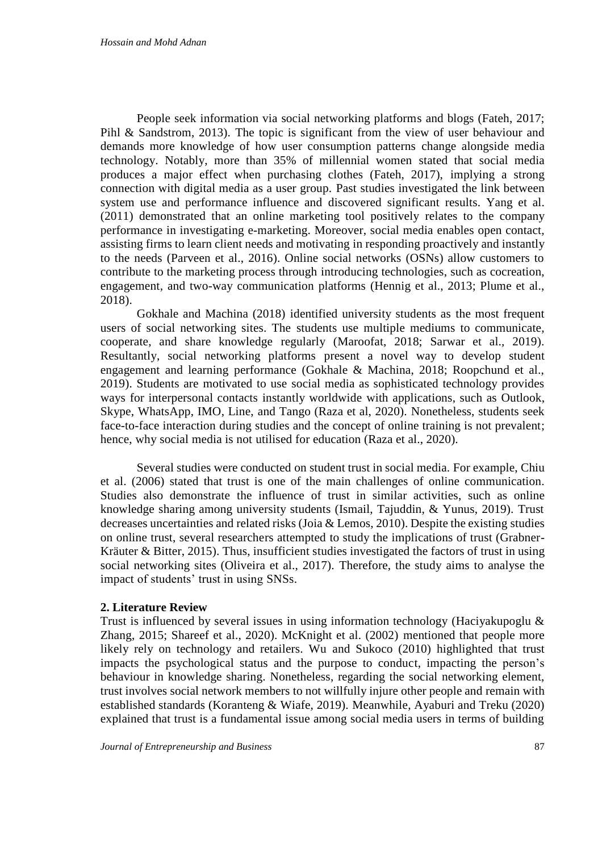People seek information via social networking platforms and blogs (Fateh, 2017; Pihl & Sandstrom, 2013). The topic is significant from the view of user behaviour and demands more knowledge of how user consumption patterns change alongside media technology. Notably, more than 35% of millennial women stated that social media produces a major effect when purchasing clothes (Fateh, 2017), implying a strong connection with digital media as a user group. Past studies investigated the link between system use and performance influence and discovered significant results. Yang et al. (2011) demonstrated that an online marketing tool positively relates to the company performance in investigating e-marketing. Moreover, social media enables open contact, assisting firms to learn client needs and motivating in responding proactively and instantly to the needs (Parveen et al., 2016). Online social networks (OSNs) allow customers to contribute to the marketing process through introducing technologies, such as cocreation, engagement, and two-way communication platforms (Hennig et al., 2013; Plume et al., 2018).

Gokhale and Machina (2018) identified university students as the most frequent users of social networking sites. The students use multiple mediums to communicate, cooperate, and share knowledge regularly (Maroofat, 2018; Sarwar et al., 2019). Resultantly, social networking platforms present a novel way to develop student engagement and learning performance (Gokhale & Machina, 2018; Roopchund et al., 2019). Students are motivated to use social media as sophisticated technology provides ways for interpersonal contacts instantly worldwide with applications, such as Outlook, Skype, WhatsApp, IMO, Line, and Tango (Raza et al, 2020). Nonetheless, students seek face-to-face interaction during studies and the concept of online training is not prevalent; hence, why social media is not utilised for education (Raza et al., 2020).

Several studies were conducted on student trust in social media. For example, Chiu et al. (2006) stated that trust is one of the main challenges of online communication. Studies also demonstrate the influence of trust in similar activities, such as online knowledge sharing among university students (Ismail, Tajuddin, & Yunus, 2019). Trust decreases uncertainties and related risks (Joia & Lemos, 2010). Despite the existing studies on online trust, several researchers attempted to study the implications of trust (Grabner-Kräuter & Bitter, 2015). Thus, insufficient studies investigated the factors of trust in using social networking sites (Oliveira et al., 2017). Therefore, the study aims to analyse the impact of students' trust in using SNSs.

## **2. Literature Review**

Trust is influenced by several issues in using information technology (Haciyakupoglu  $\&$ Zhang, 2015; Shareef et al., 2020). McKnight et al. (2002) mentioned that people more likely rely on technology and retailers. Wu and Sukoco (2010) highlighted that trust impacts the psychological status and the purpose to conduct, impacting the person's behaviour in knowledge sharing. Nonetheless, regarding the social networking element, trust involves social network members to not willfully injure other people and remain with established standards (Koranteng & Wiafe, 2019). Meanwhile, Ayaburi and Treku (2020) explained that trust is a fundamental issue among social media users in terms of building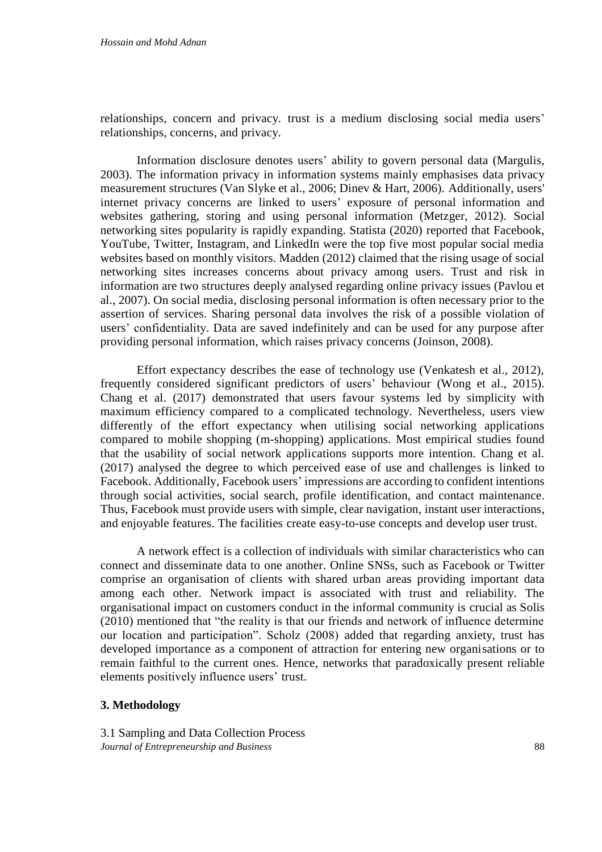relationships, concern and privacy. trust is a medium disclosing social media users' relationships, concerns, and privacy.

Information disclosure denotes users' ability to govern personal data (Margulis, 2003). The information privacy in information systems mainly emphasises data privacy measurement structures (Van Slyke et al., 2006; Dinev & Hart, 2006). Additionally, users' internet privacy concerns are linked to users' exposure of personal information and websites gathering, storing and using personal information (Metzger, 2012). Social networking sites popularity is rapidly expanding. Statista (2020) reported that Facebook, YouTube, Twitter, Instagram, and LinkedIn were the top five most popular social media websites based on monthly visitors. Madden (2012) claimed that the rising usage of social networking sites increases concerns about privacy among users. Trust and risk in information are two structures deeply analysed regarding online privacy issues (Pavlou et al., 2007). On social media, disclosing personal information is often necessary prior to the assertion of services. Sharing personal data involves the risk of a possible violation of users' confidentiality. Data are saved indefinitely and can be used for any purpose after providing personal information, which raises privacy concerns (Joinson, 2008).

Effort expectancy describes the ease of technology use (Venkatesh et al., 2012), frequently considered significant predictors of users' behaviour (Wong et al., 2015). Chang et al. (2017) demonstrated that users favour systems led by simplicity with maximum efficiency compared to a complicated technology. Nevertheless, users view differently of the effort expectancy when utilising social networking applications compared to mobile shopping (m-shopping) applications. Most empirical studies found that the usability of social network applications supports more intention. Chang et al. (2017) analysed the degree to which perceived ease of use and challenges is linked to Facebook. Additionally, Facebook users' impressions are according to confident intentions through social activities, social search, profile identification, and contact maintenance. Thus, Facebook must provide users with simple, clear navigation, instant user interactions, and enjoyable features. The facilities create easy-to-use concepts and develop user trust.

A network effect is a collection of individuals with similar characteristics who can connect and disseminate data to one another. Online SNSs, such as Facebook or Twitter comprise an organisation of clients with shared urban areas providing important data among each other. Network impact is associated with trust and reliability. The organisational impact on customers conduct in the informal community is crucial as Solis (2010) mentioned that "the reality is that our friends and network of influence determine our location and participation". Scholz (2008) added that regarding anxiety, trust has developed importance as a component of attraction for entering new organisations or to remain faithful to the current ones. Hence, networks that paradoxically present reliable elements positively influence users' trust.

## **3. Methodology**

*Journal of Entrepreneurship and Business* 88 3.1 Sampling and Data Collection Process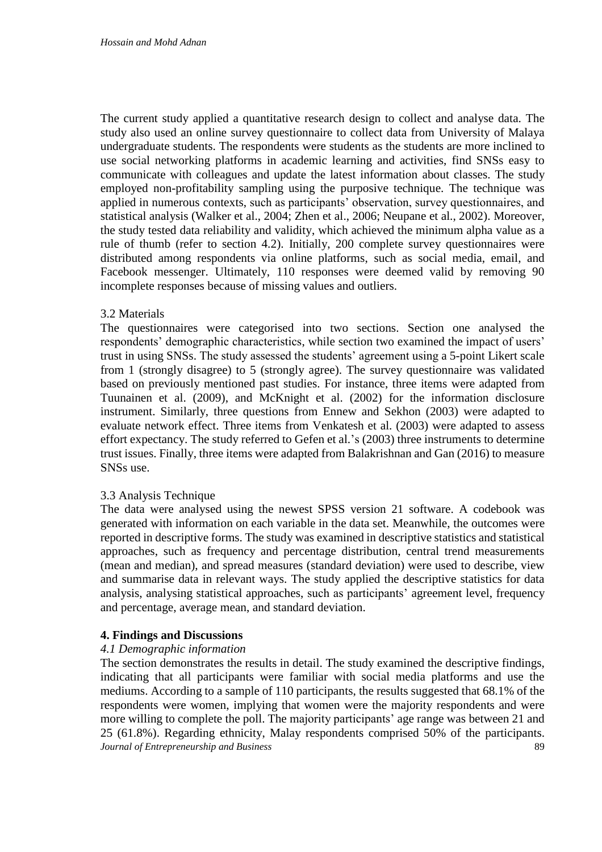The current study applied a quantitative research design to collect and analyse data. The study also used an online survey questionnaire to collect data from University of Malaya undergraduate students. The respondents were students as the students are more inclined to use social networking platforms in academic learning and activities, find SNSs easy to communicate with colleagues and update the latest information about classes. The study employed non-profitability sampling using the purposive technique. The technique was applied in numerous contexts, such as participants' observation, survey questionnaires, and statistical analysis (Walker et al., 2004; Zhen et al., 2006; Neupane et al., 2002). Moreover, the study tested data reliability and validity, which achieved the minimum alpha value as a rule of thumb (refer to section 4.2). Initially, 200 complete survey questionnaires were distributed among respondents via online platforms, such as social media, email, and Facebook messenger. Ultimately, 110 responses were deemed valid by removing 90 incomplete responses because of missing values and outliers.

#### 3.2 Materials

The questionnaires were categorised into two sections. Section one analysed the respondents' demographic characteristics, while section two examined the impact of users' trust in using SNSs. The study assessed the students' agreement using a 5-point Likert scale from 1 (strongly disagree) to 5 (strongly agree). The survey questionnaire was validated based on previously mentioned past studies. For instance, three items were adapted from Tuunainen et al. (2009), and McKnight et al. (2002) for the information disclosure instrument. Similarly, three questions from Ennew and Sekhon (2003) were adapted to evaluate network effect. Three items from Venkatesh et al. (2003) were adapted to assess effort expectancy. The study referred to Gefen et al.'s (2003) three instruments to determine trust issues. Finally, three items were adapted from Balakrishnan and Gan (2016) to measure SNSs use.

#### 3.3 Analysis Technique

The data were analysed using the newest SPSS version 21 software. A codebook was generated with information on each variable in the data set. Meanwhile, the outcomes were reported in descriptive forms. The study was examined in descriptive statistics and statistical approaches, such as frequency and percentage distribution, central trend measurements (mean and median), and spread measures (standard deviation) were used to describe, view and summarise data in relevant ways. The study applied the descriptive statistics for data analysis, analysing statistical approaches, such as participants' agreement level, frequency and percentage, average mean, and standard deviation.

## **4. Findings and Discussions**

#### *4.1 Demographic information*

*Journal of Entrepreneurship and Business* 89 The section demonstrates the results in detail. The study examined the descriptive findings, indicating that all participants were familiar with social media platforms and use the mediums. According to a sample of 110 participants, the results suggested that 68.1% of the respondents were women, implying that women were the majority respondents and were more willing to complete the poll. The majority participants' age range was between 21 and 25 (61.8%). Regarding ethnicity, Malay respondents comprised 50% of the participants.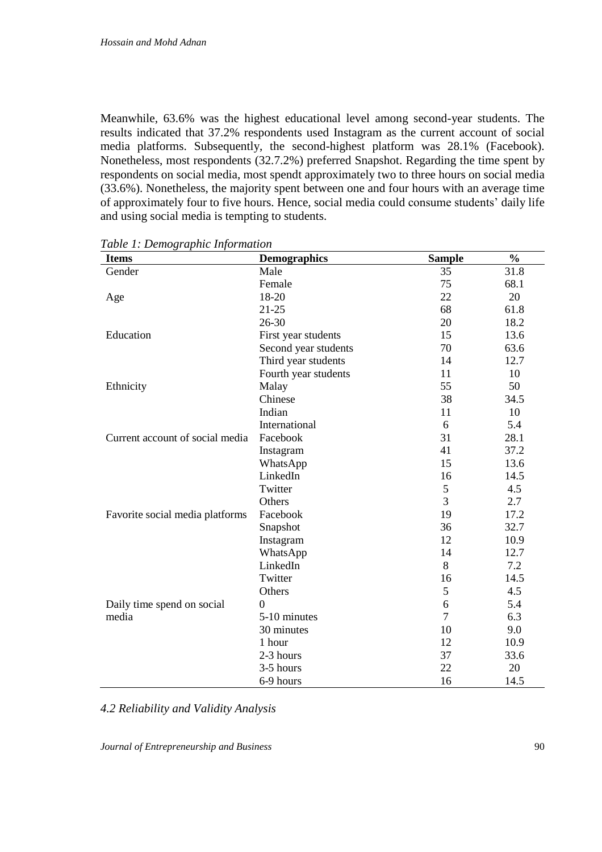Meanwhile, 63.6% was the highest educational level among second-year students. The results indicated that 37.2% respondents used Instagram as the current account of social media platforms. Subsequently, the second-highest platform was 28.1% (Facebook). Nonetheless, most respondents (32.7.2%) preferred Snapshot. Regarding the time spent by respondents on social media, most spendt approximately two to three hours on social media (33.6%). Nonetheless, the majority spent between one and four hours with an average time of approximately four to five hours. Hence, social media could consume students' daily life and using social media is tempting to students.

| <b>Items</b>                    | <b>Demographics</b>  | <b>Sample</b>  | $\frac{0}{0}$ |
|---------------------------------|----------------------|----------------|---------------|
| Gender                          | Male                 | 35             | 31.8          |
|                                 | Female               | 75             | 68.1          |
| Age                             | 18-20                | 22             | 20            |
|                                 | $21 - 25$            | 68             | 61.8          |
|                                 | $26 - 30$            | 20             | 18.2          |
| Education                       | First year students  | 15             | 13.6          |
|                                 | Second year students | 70             | 63.6          |
|                                 | Third year students  | 14             | 12.7          |
|                                 | Fourth year students | 11             | 10            |
| Ethnicity                       | Malay                | 55             | 50            |
|                                 | Chinese              | 38             | 34.5          |
|                                 | Indian               | 11             | 10            |
|                                 | International        | 6              | 5.4           |
| Current account of social media | Facebook             | 31             | 28.1          |
|                                 | Instagram            | 41             | 37.2          |
|                                 | WhatsApp             | 15             | 13.6          |
|                                 | LinkedIn             | 16             | 14.5          |
|                                 | Twitter              | 5              | 4.5           |
|                                 | Others               | $\overline{3}$ | 2.7           |
| Favorite social media platforms | Facebook             | 19             | 17.2          |
|                                 | Snapshot             | 36             | 32.7          |
|                                 | Instagram            | 12             | 10.9          |
|                                 | WhatsApp             | 14             | 12.7          |
|                                 | LinkedIn             | 8              | 7.2           |
|                                 | Twitter              | 16             | 14.5          |
|                                 | Others               | 5              | 4.5           |
| Daily time spend on social      | $\theta$             | 6              | 5.4           |
| media                           | 5-10 minutes         | $\overline{7}$ | 6.3           |
|                                 | 30 minutes           | 10             | 9.0           |
|                                 | 1 hour               | 12             | 10.9          |
|                                 | 2-3 hours            | 37             | 33.6          |
|                                 | 3-5 hours            | 22             | 20            |
|                                 | 6-9 hours            | 16             | 14.5          |

*Table 1: Demographic Information*

*4.2 Reliability and Validity Analysis*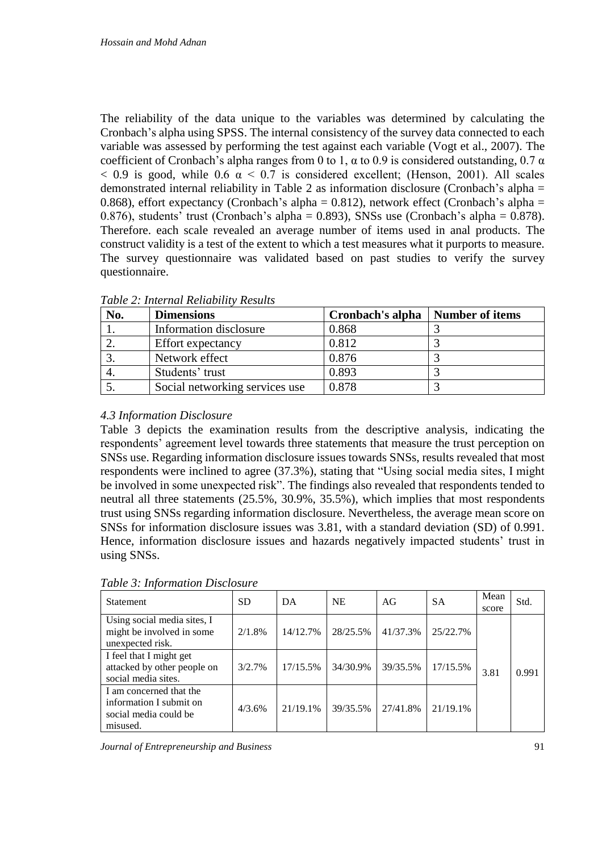The reliability of the data unique to the variables was determined by calculating the Cronbach's alpha using SPSS. The internal consistency of the survey data connected to each variable was assessed by performing the test against each variable (Vogt et al., 2007). The coefficient of Cronbach's alpha ranges from 0 to 1,  $\alpha$  to 0.9 is considered outstanding, 0.7  $\alpha$  $< 0.9$  is good, while 0.6  $\alpha < 0.7$  is considered excellent; (Henson, 2001). All scales demonstrated internal reliability in Table 2 as information disclosure (Cronbach's alpha = 0.868), effort expectancy (Cronbach's alpha =  $0.812$ ), network effect (Cronbach's alpha = 0.876), students' trust (Cronbach's alpha = 0.893), SNSs use (Cronbach's alpha = 0.878). Therefore. each scale revealed an average number of items used in anal products. The construct validity is a test of the extent to which a test measures what it purports to measure. The survey questionnaire was validated based on past studies to verify the survey questionnaire.

| No. | <b>Dimensions</b>              | Cronbach's alpha | Number of items |
|-----|--------------------------------|------------------|-----------------|
|     | Information disclosure         | 0.868            |                 |
|     | <b>Effort</b> expectancy       | 0.812            |                 |
|     | Network effect                 | 0.876            |                 |
|     | Students' trust                | 0.893            |                 |
|     | Social networking services use | 0.878            |                 |

*Table 2: Internal Reliability Results*

# *4.3 Information Disclosure*

Table 3 depicts the examination results from the descriptive analysis, indicating the respondents' agreement level towards three statements that measure the trust perception on SNSs use. Regarding information disclosure issues towards SNSs, results revealed that most respondents were inclined to agree (37.3%), stating that "Using social media sites, I might be involved in some unexpected risk". The findings also revealed that respondents tended to neutral all three statements (25.5%, 30.9%, 35.5%), which implies that most respondents trust using SNSs regarding information disclosure. Nevertheless, the average mean score on SNSs for information disclosure issues was 3.81, with a standard deviation (SD) of 0.991. Hence, information disclosure issues and hazards negatively impacted students' trust in using SNSs.

| <b>Statement</b>                                                                        | <b>SD</b> | DA       | <b>NE</b> | AG       | <b>SA</b> | Mean<br>score | Std.  |
|-----------------------------------------------------------------------------------------|-----------|----------|-----------|----------|-----------|---------------|-------|
| Using social media sites, I<br>might be involved in some<br>unexpected risk.            | 2/1.8%    | 14/12.7% | 28/25.5%  | 41/37.3% | 25/22.7%  |               |       |
| I feel that I might get<br>attacked by other people on<br>social media sites.           | 3/2.7%    | 17/15.5% | 34/30.9%  | 39/35.5% | 17/15.5%  | 3.81          | 0.991 |
| I am concerned that the<br>information I submit on<br>social media could be<br>misused. | 4/3.6%    | 21/19.1% | 39/35.5%  | 27/41.8% | 21/19.1%  |               |       |

*Table 3: Information Disclosure*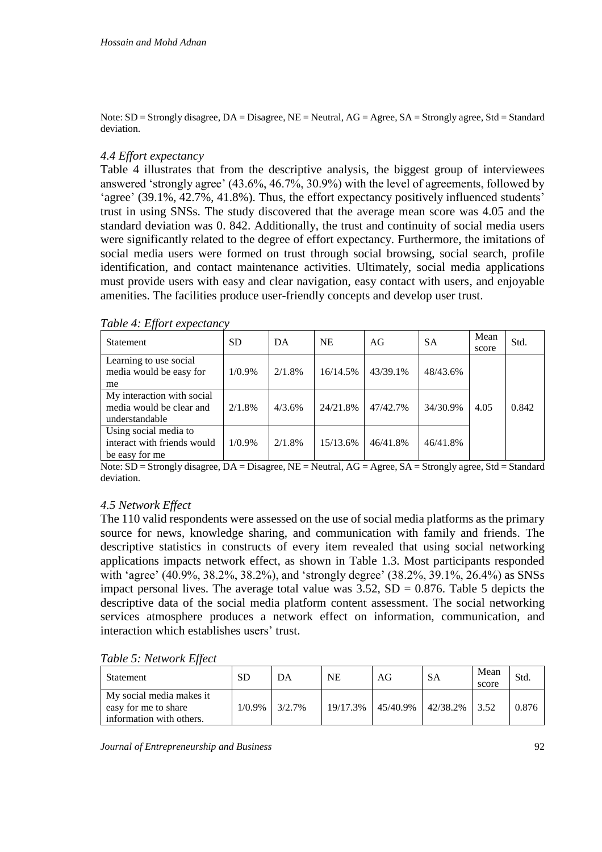Note: SD = Strongly disagree, DA = Disagree, NE = Neutral, AG = Agree, SA = Strongly agree, Std = Standard deviation.

## *4.4 Effort expectancy*

Table 4 illustrates that from the descriptive analysis, the biggest group of interviewees answered 'strongly agree' (43.6%, 46.7%, 30.9%) with the level of agreements, followed by 'agree' (39.1%, 42.7%, 41.8%). Thus, the effort expectancy positively influenced students' trust in using SNSs. The study discovered that the average mean score was 4.05 and the standard deviation was 0. 842. Additionally, the trust and continuity of social media users were significantly related to the degree of effort expectancy. Furthermore, the imitations of social media users were formed on trust through social browsing, social search, profile identification, and contact maintenance activities. Ultimately, social media applications must provide users with easy and clear navigation, easy contact with users, and enjoyable amenities. The facilities produce user-friendly concepts and develop user trust.

| Statement                                                                | <b>SD</b> | DA     | <b>NE</b> | AG       | <b>SA</b> | Mean<br>score | Std.  |
|--------------------------------------------------------------------------|-----------|--------|-----------|----------|-----------|---------------|-------|
| Learning to use social<br>media would be easy for<br>me                  | $1/0.9\%$ | 2/1.8% | 16/14.5%  | 43/39.1% | 48/43.6%  |               |       |
| My interaction with social<br>media would be clear and<br>understandable | 2/1.8%    | 4/3.6% | 24/21.8%  | 47/42.7% | 34/30.9%  | 4.05          | 0.842 |
| Using social media to<br>interact with friends would<br>be easy for me   | $1/0.9\%$ | 2/1.8% | 15/13.6%  | 46/41.8% | 46/41.8%  |               |       |

*Table 4: Effort expectancy*

Note: SD = Strongly disagree, DA = Disagree, NE = Neutral, AG = Agree, SA = Strongly agree, Std = Standard deviation.

#### *4.5 Network Effect*

The 110 valid respondents were assessed on the use of social media platforms as the primary source for news, knowledge sharing, and communication with family and friends. The descriptive statistics in constructs of every item revealed that using social networking applications impacts network effect, as shown in Table 1.3. Most participants responded with 'agree' (40.9%, 38.2%, 38.2%), and 'strongly degree' (38.2%, 39.1%, 26.4%) as SNSs impact personal lives. The average total value was  $3.52$ ,  $SD = 0.876$ . Table 5 depicts the descriptive data of the social media platform content assessment. The social networking services atmosphere produces a network effect on information, communication, and interaction which establishes users' trust.

*Table 5: Network Effect*

| Statement                                                                    | SD     | DА        | NE       | AG | SА                         | Mean<br>score | Std   |
|------------------------------------------------------------------------------|--------|-----------|----------|----|----------------------------|---------------|-------|
| My social media makes it<br>easy for me to share<br>information with others. | 1/0.9% | $3/2.7\%$ | 19/17.3% |    | 45/40.9%   42/38.2%   3.52 |               | 0.876 |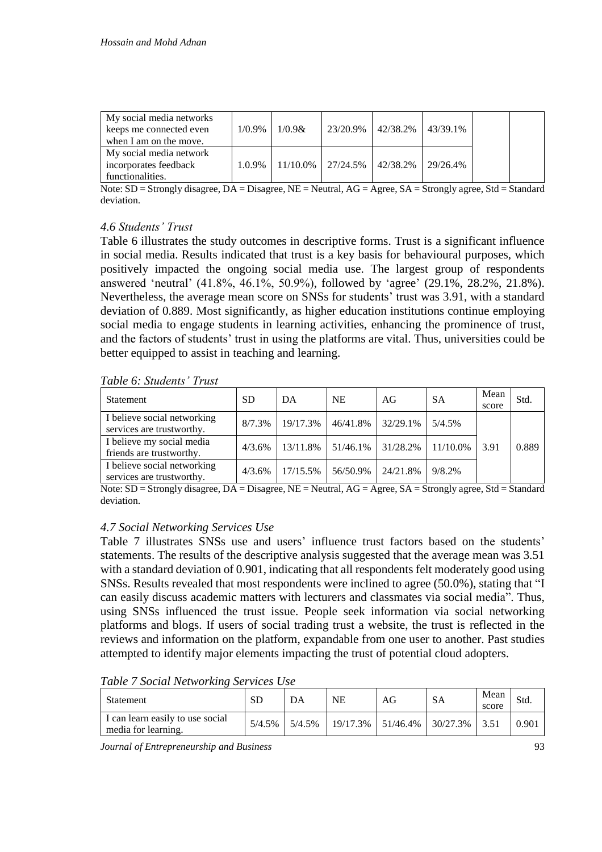| My social media networks<br>keeps me connected even                  | $1/0.9\%$ | 1/0.98 |                                              | 23/20.9%   42/38.2%   43/39.1% |  |  |
|----------------------------------------------------------------------|-----------|--------|----------------------------------------------|--------------------------------|--|--|
| when I am on the move.                                               |           |        |                                              |                                |  |  |
| My social media network<br>incorporates feedback<br>functionalities. | 1.0.9%    |        | $11/10.0\%$   27/24.5%   42/38.2%   29/26.4% |                                |  |  |

Note: SD = Strongly disagree, DA = Disagree, NE = Neutral, AG = Agree, SA = Strongly agree, Std = Standard deviation.

# *4.6 Students' Trust*

Table 6 illustrates the study outcomes in descriptive forms. Trust is a significant influence in social media. Results indicated that trust is a key basis for behavioural purposes, which positively impacted the ongoing social media use. The largest group of respondents answered 'neutral' (41.8%, 46.1%, 50.9%), followed by 'agree' (29.1%, 28.2%, 21.8%). Nevertheless, the average mean score on SNSs for students' trust was 3.91, with a standard deviation of 0.889. Most significantly, as higher education institutions continue employing social media to engage students in learning activities, enhancing the prominence of trust, and the factors of students' trust in using the platforms are vital. Thus, universities could be better equipped to assist in teaching and learning.

*Table 6: Students' Trust* 

| Statement                                                | <b>SD</b> | DA       | <b>NE</b> | AG                                | <b>SA</b> | Mean<br>score | Std.  |
|----------------------------------------------------------|-----------|----------|-----------|-----------------------------------|-----------|---------------|-------|
| I believe social networking<br>services are trustworthy. | 8/7.3%    | 19/17.3% | 46/41.8%  | 32/29.1%                          | 5/4.5%    |               |       |
| I believe my social media<br>friends are trustworthy.    | 4/3.6%    | 13/11.8% |           | $51/46.1\%$   31/28.2%   11/10.0% |           | 3.91          | 0.889 |
| I believe social networking<br>services are trustworthy. | 4/3.6%    | 17/15.5% | 56/50.9%  | 24/21.8%                          | 9/8.2%    |               |       |

Note: SD = Strongly disagree, DA = Disagree, NE = Neutral, AG = Agree, SA = Strongly agree, Std = Standard deviation.

## *4.7 Social Networking Services Use*

Table 7 illustrates SNSs use and users' influence trust factors based on the students' statements. The results of the descriptive analysis suggested that the average mean was 3.51 with a standard deviation of 0.901, indicating that all respondents felt moderately good using SNSs. Results revealed that most respondents were inclined to agree (50.0%), stating that "I can easily discuss academic matters with lecturers and classmates via social media". Thus, using SNSs influenced the trust issue. People seek information via social networking platforms and blogs. If users of social trading trust a website, the trust is reflected in the reviews and information on the platform, expandable from one user to another. Past studies attempted to identify major elements impacting the trust of potential cloud adopters.

| Table 7 Social Networking Services Use |  |  |  |  |  |  |
|----------------------------------------|--|--|--|--|--|--|
|----------------------------------------|--|--|--|--|--|--|

| Statement                                               | SD     | DA     | NΕ | AG                   | SА                       | Mean<br>score | Std.  |
|---------------------------------------------------------|--------|--------|----|----------------------|--------------------------|---------------|-------|
| I can learn easily to use social<br>media for learning. | 5/4.5% | 5/4.5% |    | $19/17.3\%$ 51/46.4% | $\vert$ 30/27.3% $\vert$ | 3.51          | 0.901 |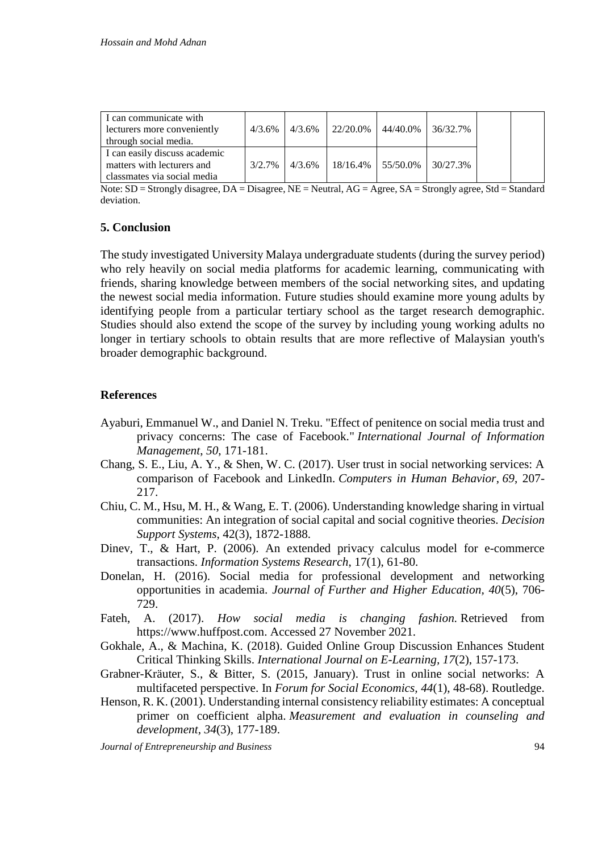| I can communicate with<br>lecturers more conveniently<br>through social media.             | $4/3.6\%$ | 4/3.6% | 22/20.0% | 44/40.0%                          | 136/32.7% |  |
|--------------------------------------------------------------------------------------------|-----------|--------|----------|-----------------------------------|-----------|--|
| I can easily discuss academic<br>matters with lecturers and<br>classmates via social media | $3/2.7\%$ | 4/3.6% |          | $18/16.4\%$   55/50.0%   30/27.3% |           |  |

Note: SD = Strongly disagree, DA = Disagree, NE = Neutral, AG = Agree, SA = Strongly agree, Std = Standard deviation.

# **5. Conclusion**

The study investigated University Malaya undergraduate students (during the survey period) who rely heavily on social media platforms for academic learning, communicating with friends, sharing knowledge between members of the social networking sites, and updating the newest social media information. Future studies should examine more young adults by identifying people from a particular tertiary school as the target research demographic. Studies should also extend the scope of the survey by including young working adults no longer in tertiary schools to obtain results that are more reflective of Malaysian youth's broader demographic background.

# **References**

- Ayaburi, Emmanuel W., and Daniel N. Treku. "Effect of penitence on social media trust and privacy concerns: The case of Facebook." *International Journal of Information Management*, *50*, 171-181.
- Chang, S. E., Liu, A. Y., & Shen, W. C. (2017). User trust in social networking services: A comparison of Facebook and LinkedIn. *Computers in Human Behavior*, *69*, 207- 217.
- Chiu, C. M., Hsu, M. H., & Wang, E. T. (2006). Understanding knowledge sharing in virtual communities: An integration of social capital and social cognitive theories. *Decision Support Systems*, 42(3), 1872-1888.
- Dinev, T., & Hart, P. (2006). An extended privacy calculus model for e-commerce transactions. *Information Systems Research*, 17(1), 61-80.
- Donelan, H. (2016). Social media for professional development and networking opportunities in academia. *Journal of Further and Higher Education, 40*(5), 706- 729.
- Fateh, A. (2017). *How social media is changing fashion.* Retrieved from https://www.huffpost.com. Accessed 27 November 2021.
- Gokhale, A., & Machina, K. (2018). Guided Online Group Discussion Enhances Student Critical Thinking Skills. *International Journal on E-Learning, 17*(2), 157-173.
- Grabner-Kräuter, S., & Bitter, S. (2015, January). Trust in online social networks: A multifaceted perspective. In *Forum for Social Economics, 44*(1), 48-68). Routledge.
- Henson, R. K. (2001). Understanding internal consistency reliability estimates: A conceptual primer on coefficient alpha. *Measurement and evaluation in counseling and development*, *34*(3), 177-189.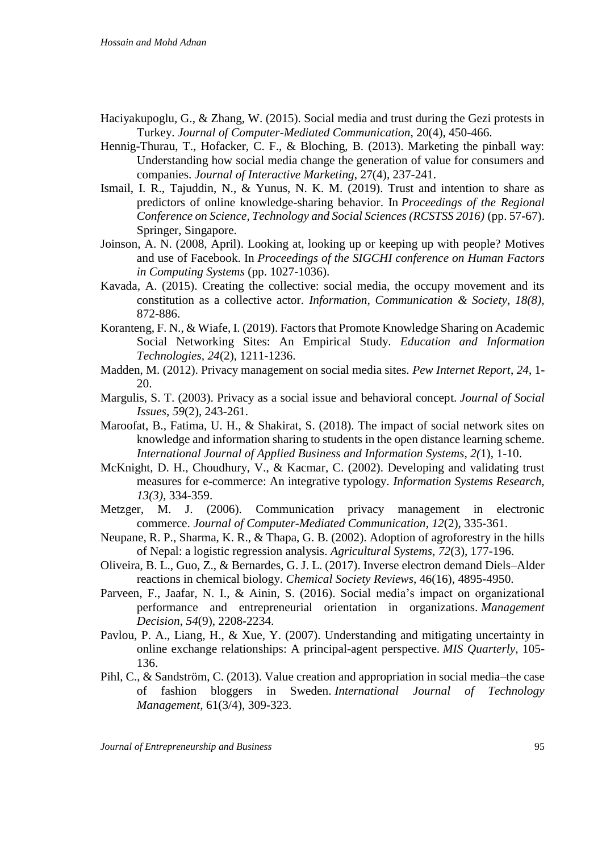- Haciyakupoglu, G., & Zhang, W. (2015). Social media and trust during the Gezi protests in Turkey. *Journal of Computer-Mediated Communication*, 20(4), 450-466.
- Hennig-Thurau, T., Hofacker, C. F., & Bloching, B. (2013). Marketing the pinball way: Understanding how social media change the generation of value for consumers and companies. *Journal of Interactive Marketing*, 27(4), 237-241.
- Ismail, I. R., Tajuddin, N., & Yunus, N. K. M. (2019). Trust and intention to share as predictors of online knowledge-sharing behavior. In *Proceedings of the Regional Conference on Science, Technology and Social Sciences (RCSTSS 2016)* (pp. 57-67). Springer, Singapore.
- Joinson, A. N. (2008, April). Looking at, looking up or keeping up with people? Motives and use of Facebook. In *Proceedings of the SIGCHI conference on Human Factors in Computing Systems* (pp. 1027-1036).
- Kavada, A. (2015). Creating the collective: social media, the occupy movement and its constitution as a collective actor. *Information, Communication & Society, 18(8),* 872-886.
- Koranteng, F. N., & Wiafe, I. (2019). Factors that Promote Knowledge Sharing on Academic Social Networking Sites: An Empirical Study. *Education and Information Technologies, 24*(2), 1211-1236.
- Madden, M. (2012). Privacy management on social media sites. *Pew Internet Report*, *24*, 1- 20.
- Margulis, S. T. (2003). Privacy as a social issue and behavioral concept. *Journal of Social Issues*, *59*(2), 243-261.
- Maroofat, B., Fatima, U. H., & Shakirat, S. (2018). The impact of social network sites on knowledge and information sharing to students in the open distance learning scheme. *International Journal of Applied Business and Information Systems*, *2(*1), 1-10.
- McKnight, D. H., Choudhury, V., & Kacmar, C. (2002). Developing and validating trust measures for e-commerce: An integrative typology. *Information Systems Research, 13(3),* 334-359.
- Metzger, M. J. (2006). Communication privacy management in electronic commerce. *Journal of Computer-Mediated Communication*, *12*(2), 335-361.
- Neupane, R. P., Sharma, K. R., & Thapa, G. B. (2002). Adoption of agroforestry in the hills of Nepal: a logistic regression analysis. *Agricultural Systems*, *72*(3), 177-196.
- Oliveira, B. L., Guo, Z., & Bernardes, G. J. L. (2017). Inverse electron demand Diels–Alder reactions in chemical biology. *Chemical Society Reviews*, 46(16), 4895-4950.
- Parveen, F., Jaafar, N. I., & Ainin, S. (2016). Social media's impact on organizational performance and entrepreneurial orientation in organizations. *Management Decision*, *54*(9), 2208-2234.
- Pavlou, P. A., Liang, H., & Xue, Y. (2007). Understanding and mitigating uncertainty in online exchange relationships: A principal-agent perspective. *MIS Quarterly*, 105- 136.
- Pihl, C., & Sandström, C. (2013). Value creation and appropriation in social media–the case of fashion bloggers in Sweden. *International Journal of Technology Management*, 61(3/4), 309-323.